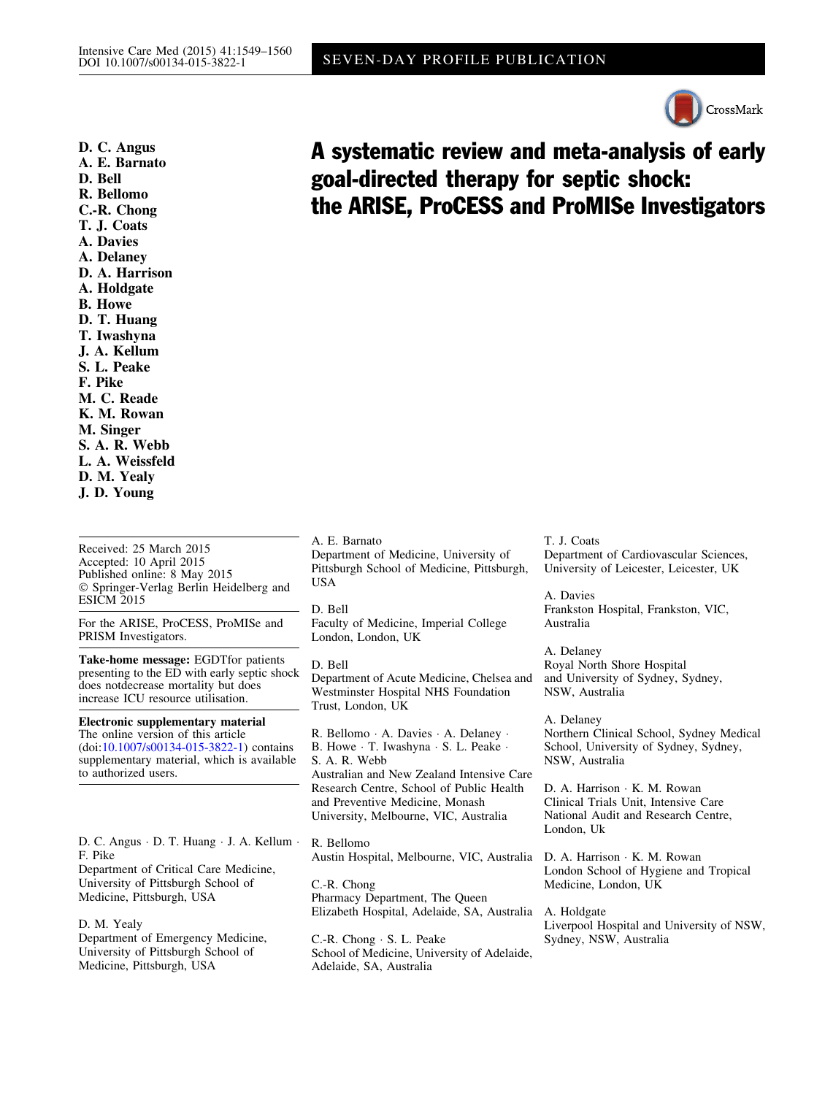Received: 25 March 2015 Accepted: 10 April 2015 Published online: 8 May 2015 - Springer-Verlag Berlin Heidelberg and ESICM 2015

For the ARISE, ProCESS, ProMISe and PRISM Investigators.

Take-home message: EGDTfor patients presenting to the ED with early septic shock does notdecrease mortality but does increase ICU resource utilisation.

Electronic supplementary material The online version of this article (doi:[10.1007/s00134-015-3822-1](http://dx.doi.org/10.1007/s00134-015-3822-1)) contains supplementary material, which is available to authorized users.

D. C. Angus - D. T. Huang - J. A. Kellum - F. Pike

Department of Critical Care Medicine, University of Pittsburgh School of Medicine, Pittsburgh, USA

D. M. Yealy Department of Emergency Medicine, University of Pittsburgh School of Medicine, Pittsburgh, USA

A. E. Barnato Department of Medicine, University of Pittsburgh School of Medicine, Pittsburgh, USA

D. Bell Faculty of Medicine, Imperial College London, London, UK

D. Bell Department of Acute Medicine, Chelsea and Westminster Hospital NHS Foundation Trust, London, UK

R. Bellomo - A. Davies - A. Delaney - B. Howe · T. Iwashyna · S. L. Peake · S. A. R. Webb Australian and New Zealand Intensive Care Research Centre, School of Public Health and Preventive Medicine, Monash University, Melbourne, VIC, Australia

R. Bellomo Austin Hospital, Melbourne, VIC, Australia

C.-R. Chong Pharmacy Department, The Queen Elizabeth Hospital, Adelaide, SA, Australia

C.-R. Chong - S. L. Peake School of Medicine, University of Adelaide, Adelaide, SA, Australia

T. J. Coats Department of Cardiovascular Sciences, University of Leicester, Leicester, UK

A. Davies Frankston Hospital, Frankston, VIC, Australia

A. Delaney Royal North Shore Hospital and University of Sydney, Sydney, NSW, Australia

A. Delaney Northern Clinical School, Sydney Medical School, University of Sydney, Sydney, NSW, Australia

D. A. Harrison - K. M. Rowan Clinical Trials Unit, Intensive Care National Audit and Research Centre, London, Uk

D. A. Harrison - K. M. Rowan London School of Hygiene and Tropical Medicine, London, UK

A. Holdgate Liverpool Hospital and University of NSW, Sydney, NSW, Australia

# A systematic review and meta-analysis of early goal-directed therapy for septic shock: the ARISE, ProCESS and ProMISe Investigators

SEVEN-DAY PROFILE PUBLICATION

D. C. Angus A. E. Barnato D. Bell R. Bellomo C.-R. Chong T. J. Coats A. Davies A. Delaney D. A. Harrison A. Holdgate B. Howe D. T. Huang T. Iwashyna J. A. Kellum S. L. Peake F. Pike M. C. Reade K. M. Rowan M. Singer S. A. R. Webb L. A. Weissfeld D. M. Yealy J. D. Young

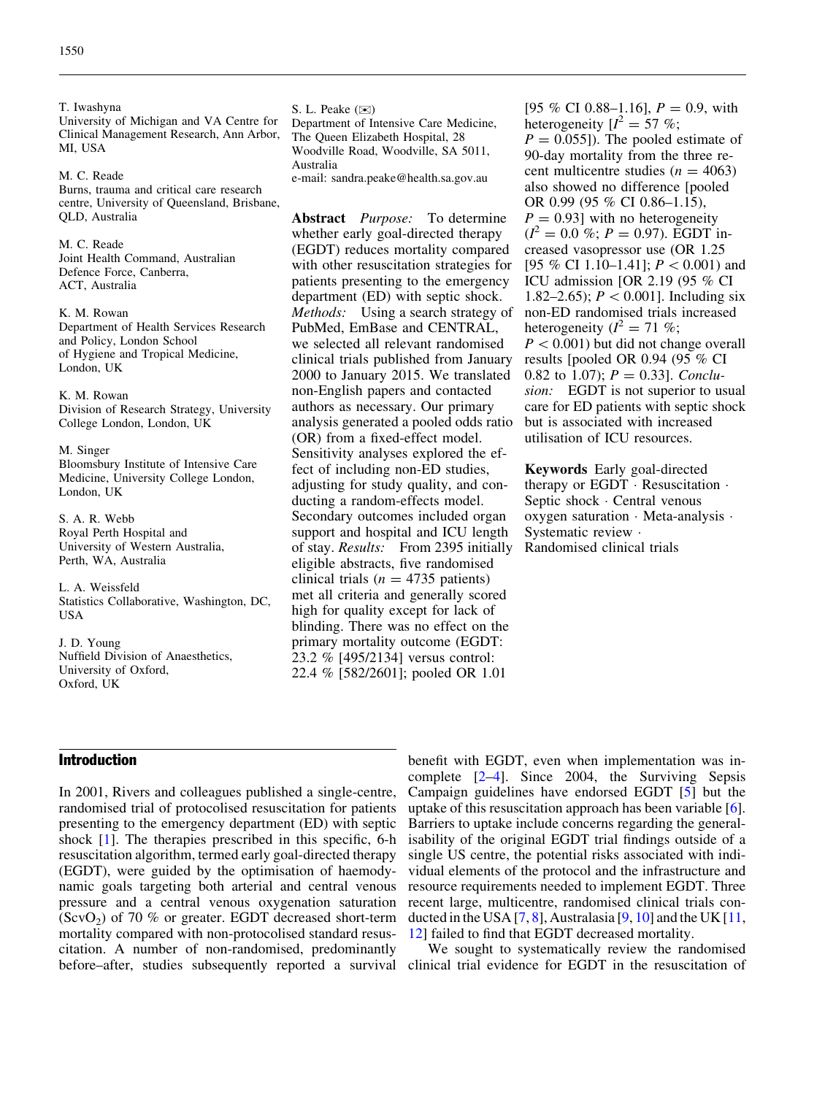T. Iwashyna University of Michigan and VA Centre for Clinical Management Research, Ann Arbor, MI, USA

M. C. Reade Burns, trauma and critical care research centre, University of Queensland, Brisbane, QLD, Australia

M. C. Reade Joint Health Command, Australian Defence Force, Canberra, ACT, Australia

K. M. Rowan Department of Health Services Research and Policy, London School of Hygiene and Tropical Medicine, London, UK

K. M. Rowan Division of Research Strategy, University College London, London, UK

M. Singer Bloomsbury Institute of Intensive Care Medicine, University College London, London, UK

S. A. R. Webb Royal Perth Hospital and University of Western Australia, Perth, WA, Australia

L. A. Weissfeld Statistics Collaborative, Washington, DC, USA

J. D. Young Nuffield Division of Anaesthetics, University of Oxford, Oxford, UK

S. L. Peake  $(\infty)$ Department of Intensive Care Medicine, The Queen Elizabeth Hospital, 28 Woodville Road, Woodville, SA 5011, Australia e-mail: sandra.peake@health.sa.gov.au

Abstract Purpose: To determine whether early goal-directed therapy (EGDT) reduces mortality compared with other resuscitation strategies for patients presenting to the emergency department (ED) with septic shock. Methods: Using a search strategy of PubMed, EmBase and CENTRAL, we selected all relevant randomised clinical trials published from January 2000 to January 2015. We translated non-English papers and contacted authors as necessary. Our primary analysis generated a pooled odds ratio (OR) from a fixed-effect model. Sensitivity analyses explored the effect of including non-ED studies, adjusting for study quality, and conducting a random-effects model. Secondary outcomes included organ support and hospital and ICU length of stay. Results: From 2395 initially eligible abstracts, five randomised clinical trials ( $n = 4735$  patients) met all criteria and generally scored high for quality except for lack of blinding. There was no effect on the primary mortality outcome (EGDT: 23.2 % [495/2134] versus control: 22.4 % [582/2601]; pooled OR 1.01

[95 % CI 0.88–1.16],  $P = 0.9$ , with heterogeneity  $[I^2 = 57 \%;$  $P = 0.055$ ]). The pooled estimate of 90-day mortality from the three recent multicentre studies ( $n = 4063$ ) also showed no difference [pooled OR 0.99 (95 % CI 0.86–1.15),  $P = 0.93$ ] with no heterogeneity  $(I^2 = 0.0 \%)$ ;  $P = 0.97$ ). EGDT increased vasopressor use (OR 1.25 [95 % CI 1.10–1.41];  $P < 0.001$  and ICU admission [OR 2.19 (95 % CI 1.82–2.65);  $P < 0.001$ . Including six non-ED randomised trials increased heterogeneity ( $l^2 = 71$  %;  $P < 0.001$ ) but did not change overall results [pooled OR 0.94 (95 % CI 0.82 to 1.07);  $P = 0.33$ . Conclusion: EGDT is not superior to usual care for ED patients with septic shock but is associated with increased utilisation of ICU resources.

Keywords Early goal-directed therapy or EGDT · Resuscitation · Septic shock - Central venous oxygen saturation · Meta-analysis · Systematic review - Randomised clinical trials

# Introduction

In 2001, Rivers and colleagues published a single-centre, randomised trial of protocolised resuscitation for patients presenting to the emergency department (ED) with septic shock [[1\]](#page-10-0). The therapies prescribed in this specific, 6-h resuscitation algorithm, termed early goal-directed therapy (EGDT), were guided by the optimisation of haemodynamic goals targeting both arterial and central venous pressure and a central venous oxygenation saturation  $(ScvO<sub>2</sub>)$  of 70 % or greater. EGDT decreased short-term mortality compared with non-protocolised standard resuscitation. A number of non-randomised, predominantly

benefit with EGDT, even when implementation was incomplete [[2–4](#page-10-0)]. Since 2004, the Surviving Sepsis Campaign guidelines have endorsed EGDT [[5](#page-10-0)] but the uptake of this resuscitation approach has been variable [\[6](#page-10-0)]. Barriers to uptake include concerns regarding the generalisability of the original EGDT trial findings outside of a single US centre, the potential risks associated with individual elements of the protocol and the infrastructure and resource requirements needed to implement EGDT. Three recent large, multicentre, randomised clinical trials conducted in the USA  $[7, 8]$  $[7, 8]$  $[7, 8]$  $[7, 8]$  $[7, 8]$ , Australasia  $[9, 10]$  $[9, 10]$  $[9, 10]$  $[9, 10]$  and the UK  $[11, 1]$  $[11, 1]$  $[11, 1]$ [12](#page-10-0)] failed to find that EGDT decreased mortality.

before–after, studies subsequently reported a survival clinical trial evidence for EGDT in the resuscitation of We sought to systematically review the randomised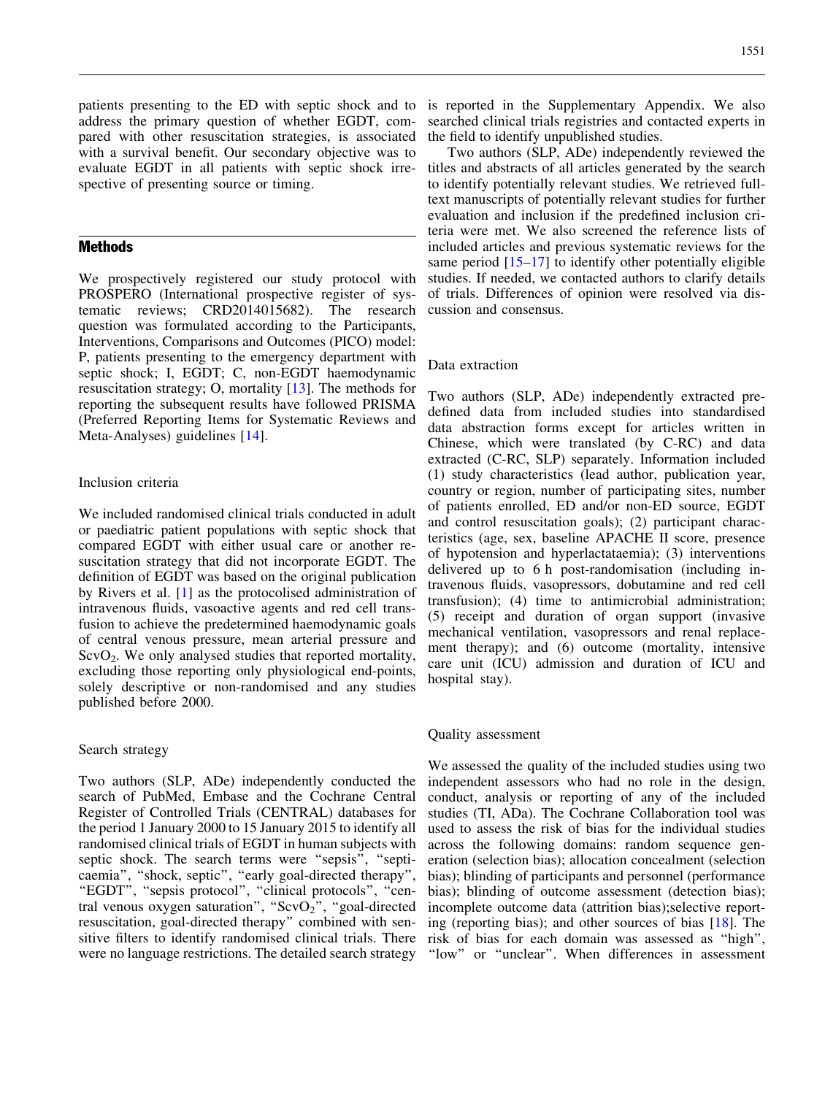patients presenting to the ED with septic shock and to address the primary question of whether EGDT, compared with other resuscitation strategies, is associated with a survival benefit. Our secondary objective was to evaluate EGDT in all patients with septic shock irrespective of presenting source or timing.

# **Methods**

We prospectively registered our study protocol with PROSPERO (International prospective register of systematic reviews; CRD2014015682). The research question was formulated according to the Participants, Interventions, Comparisons and Outcomes (PICO) model: P, patients presenting to the emergency department with septic shock; I, EGDT; C, non-EGDT haemodynamic resuscitation strategy; O, mortality [[13\]](#page-10-0). The methods for reporting the subsequent results have followed PRISMA (Preferred Reporting Items for Systematic Reviews and Meta-Analyses) guidelines [\[14\]](#page-10-0).

#### Inclusion criteria

We included randomised clinical trials conducted in adult or paediatric patient populations with septic shock that compared EGDT with either usual care or another resuscitation strategy that did not incorporate EGDT. The definition of EGDT was based on the original publication by Rivers et al. [[1\]](#page-10-0) as the protocolised administration of intravenous fluids, vasoactive agents and red cell transfusion to achieve the predetermined haemodynamic goals of central venous pressure, mean arterial pressure and  $ScvO<sub>2</sub>$ . We only analysed studies that reported mortality, excluding those reporting only physiological end-points, solely descriptive or non-randomised and any studies published before 2000.

#### Search strategy

Two authors (SLP, ADe) independently conducted the search of PubMed, Embase and the Cochrane Central Register of Controlled Trials (CENTRAL) databases for the period 1 January 2000 to 15 January 2015 to identify all randomised clinical trials of EGDT in human subjects with septic shock. The search terms were ''sepsis'', ''septicaemia", "shock, septic", "early goal-directed therapy", "EGDT", "sepsis protocol", "clinical protocols", "central venous oxygen saturation", " $ScvO<sub>2</sub>$ ", "goal-directed resuscitation, goal-directed therapy'' combined with sensitive filters to identify randomised clinical trials. There were no language restrictions. The detailed search strategy

is reported in the Supplementary Appendix. We also searched clinical trials registries and contacted experts in the field to identify unpublished studies.

Two authors (SLP, ADe) independently reviewed the titles and abstracts of all articles generated by the search to identify potentially relevant studies. We retrieved fulltext manuscripts of potentially relevant studies for further evaluation and inclusion if the predefined inclusion criteria were met. We also screened the reference lists of included articles and previous systematic reviews for the same period  $[15-17]$  to identify other potentially eligible studies. If needed, we contacted authors to clarify details of trials. Differences of opinion were resolved via discussion and consensus.

#### Data extraction

Two authors (SLP, ADe) independently extracted predefined data from included studies into standardised data abstraction forms except for articles written in Chinese, which were translated (by C-RC) and data extracted (C-RC, SLP) separately. Information included (1) study characteristics (lead author, publication year, country or region, number of participating sites, number of patients enrolled, ED and/or non-ED source, EGDT and control resuscitation goals); (2) participant characteristics (age, sex, baseline APACHE II score, presence of hypotension and hyperlactataemia); (3) interventions delivered up to 6 h post-randomisation (including intravenous fluids, vasopressors, dobutamine and red cell transfusion); (4) time to antimicrobial administration; (5) receipt and duration of organ support (invasive mechanical ventilation, vasopressors and renal replacement therapy); and (6) outcome (mortality, intensive care unit (ICU) admission and duration of ICU and hospital stay).

#### Quality assessment

We assessed the quality of the included studies using two independent assessors who had no role in the design, conduct, analysis or reporting of any of the included studies (TI, ADa). The Cochrane Collaboration tool was used to assess the risk of bias for the individual studies across the following domains: random sequence generation (selection bias); allocation concealment (selection bias); blinding of participants and personnel (performance bias); blinding of outcome assessment (detection bias); incomplete outcome data (attrition bias);selective reporting (reporting bias); and other sources of bias [[18](#page-10-0)]. The risk of bias for each domain was assessed as ''high'', "low" or "unclear". When differences in assessment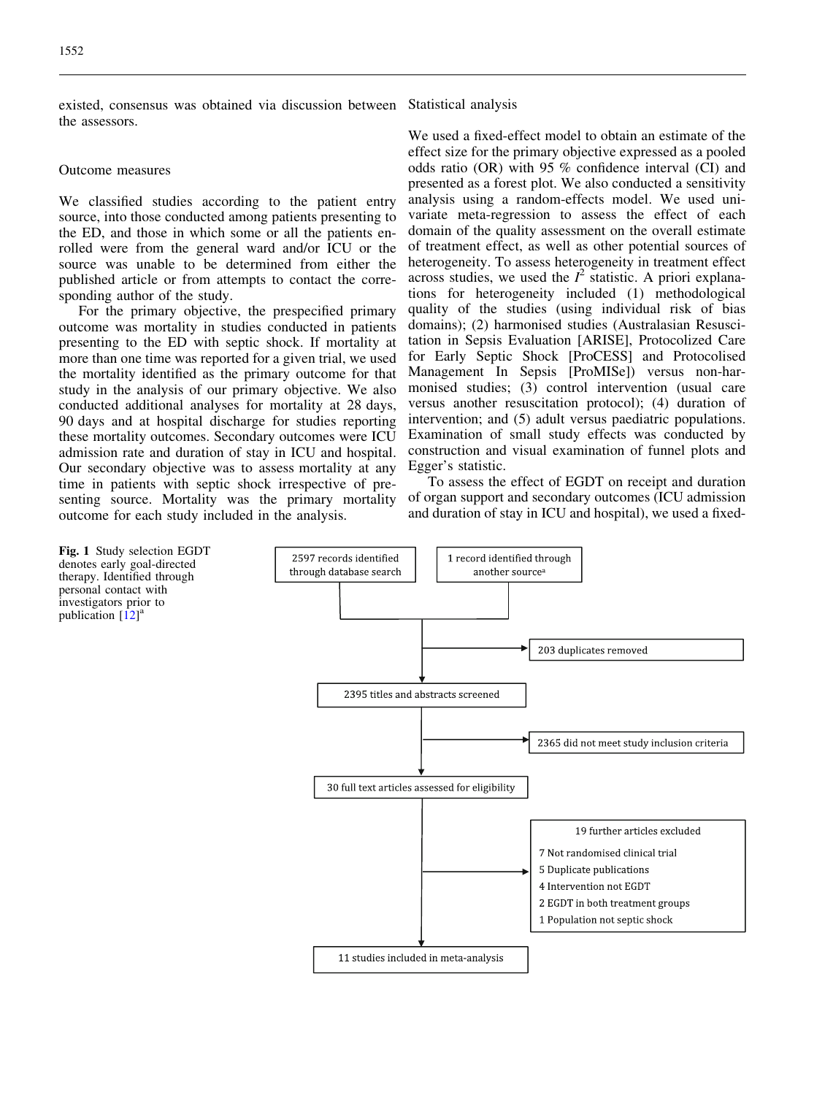<span id="page-3-0"></span>existed, consensus was obtained via discussion between the assessors.

#### Outcome measures

We classified studies according to the patient entry source, into those conducted among patients presenting to the ED, and those in which some or all the patients enrolled were from the general ward and/or ICU or the source was unable to be determined from either the published article or from attempts to contact the corresponding author of the study.

For the primary objective, the prespecified primary outcome was mortality in studies conducted in patients presenting to the ED with septic shock. If mortality at more than one time was reported for a given trial, we used the mortality identified as the primary outcome for that study in the analysis of our primary objective. We also conducted additional analyses for mortality at 28 days, 90 days and at hospital discharge for studies reporting these mortality outcomes. Secondary outcomes were ICU admission rate and duration of stay in ICU and hospital. Our secondary objective was to assess mortality at any time in patients with septic shock irrespective of presenting source. Mortality was the primary mortality outcome for each study included in the analysis.

We used a fixed-effect model to obtain an estimate of the effect size for the primary objective expressed as a pooled odds ratio (OR) with 95 % confidence interval (CI) and presented as a forest plot. We also conducted a sensitivity analysis using a random-effects model. We used univariate meta-regression to assess the effect of each domain of the quality assessment on the overall estimate of treatment effect, as well as other potential sources of heterogeneity. To assess heterogeneity in treatment effect across studies, we used the  $I^2$  statistic. A priori explanations for heterogeneity included (1) methodological quality of the studies (using individual risk of bias domains); (2) harmonised studies (Australasian Resuscitation in Sepsis Evaluation [ARISE], Protocolized Care for Early Septic Shock [ProCESS] and Protocolised Management In Sepsis [ProMISe]) versus non-harmonised studies; (3) control intervention (usual care versus another resuscitation protocol); (4) duration of intervention; and (5) adult versus paediatric populations. Examination of small study effects was conducted by construction and visual examination of funnel plots and Egger's statistic.

To assess the effect of EGDT on receipt and duration of organ support and secondary outcomes (ICU admission and duration of stay in ICU and hospital), we used a fixed-



Statistical analysis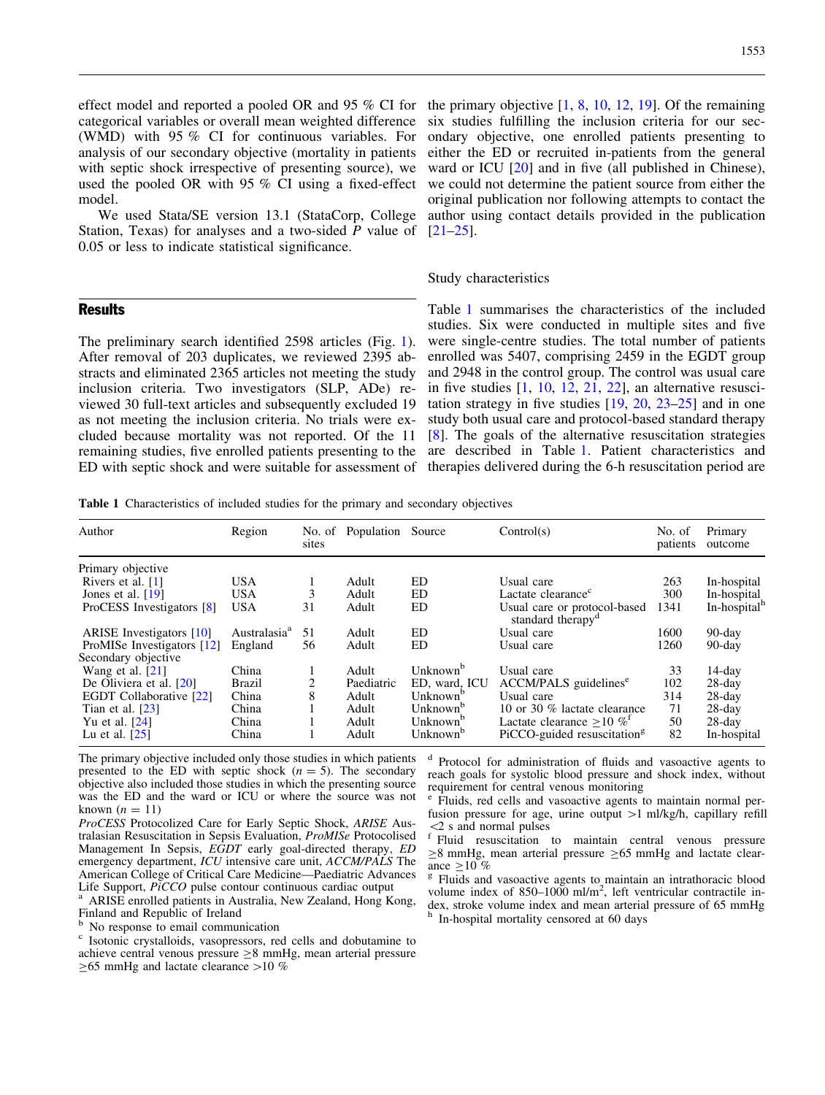effect model and reported a pooled OR and 95 % CI for categorical variables or overall mean weighted difference (WMD) with 95 % CI for continuous variables. For analysis of our secondary objective (mortality in patients with septic shock irrespective of presenting source), we used the pooled OR with 95 % CI using a fixed-effect model.

We used Stata/SE version 13.1 (StataCorp, College Station, Texas) for analyses and a two-sided P value of 0.05 or less to indicate statistical significance.

#### **Results**

The preliminary search identified 2598 articles (Fig. [1](#page-3-0)). After removal of 203 duplicates, we reviewed 2395 abstracts and eliminated 2365 articles not meeting the study inclusion criteria. Two investigators (SLP, ADe) reviewed 30 full-text articles and subsequently excluded 19 as not meeting the inclusion criteria. No trials were excluded because mortality was not reported. Of the 11 remaining studies, five enrolled patients presenting to the ED with septic shock and were suitable for assessment of

the primary objective [\[1,](#page-10-0) [8](#page-10-0), [10,](#page-10-0) [12,](#page-10-0) [19\]](#page-10-0). Of the remaining six studies fulfilling the inclusion criteria for our secondary objective, one enrolled patients presenting to either the ED or recruited in-patients from the general ward or ICU [\[20\]](#page-10-0) and in five (all published in Chinese), we could not determine the patient source from either the original publication nor following attempts to contact the author using contact details provided in the publication [\[21](#page-10-0)[–25\]](#page-11-0).

#### Study characteristics

Table 1 summarises the characteristics of the included studies. Six were conducted in multiple sites and five were single-centre studies. The total number of patients enrolled was 5407, comprising 2459 in the EGDT group and 2948 in the control group. The control was usual care in five studies [\[1,](#page-10-0) [10](#page-10-0), [12](#page-10-0), [21,](#page-10-0) [22\]](#page-10-0), an alternative resuscitation strategy in five studies [[19,](#page-10-0) [20,](#page-10-0) [23](#page-10-0)–[25](#page-11-0)] and in one study both usual care and protocol-based standard therapy [\[8\]](#page-10-0). The goals of the alternative resuscitation strategies are described in Table 1. Patient characteristics and therapies delivered during the 6-h resuscitation period are

Table 1 Characteristics of included studies for the primary and secondary objectives

| Author                          | Region                   | No. of<br>sites | Population | Source               | Control(s)                                                    | No. of<br>patients | Primary<br>outcome       |
|---------------------------------|--------------------------|-----------------|------------|----------------------|---------------------------------------------------------------|--------------------|--------------------------|
| Primary objective               |                          |                 |            |                      |                                                               |                    |                          |
| Rivers et al. [1]               | <b>USA</b>               |                 | Adult      | ED                   | Usual care                                                    | 263                | In-hospital              |
| Jones et al. $[19]$             | <b>USA</b>               |                 | Adult      | ED.                  | Lactate clearance <sup>c</sup>                                | 300                | In-hospital              |
| ProCESS Investigators [8]       | <b>USA</b>               | 31              | Adult      | ED                   | Usual care or protocol-based<br>standard therapy <sup>d</sup> | 1341               | In-hospital <sup>n</sup> |
| <b>ARISE</b> Investigators [10] | Australasia <sup>a</sup> | 51              | Adult      | ED                   | Usual care                                                    | 1600               | $90$ -day                |
| ProMISe Investigators [12]      | England                  | 56              | Adult      | ED                   | Usual care                                                    | 1260               | $90$ -day                |
| Secondary objective             |                          |                 |            |                      |                                                               |                    |                          |
| Wang et al. $[21]$              | China                    |                 | Adult      | Unknown <sup>b</sup> | Usual care                                                    | 33                 | 14-day                   |
| De Oliviera et al. [20]         | Brazil                   |                 | Paediatric | ED, ward, ICU        | ACCM/PALS guidelines <sup>e</sup>                             | 102                | $28$ -day                |
| EGDT Collaborative [22]         | China                    |                 | Adult      | Unknown <sup>b</sup> | Usual care                                                    | 314                | $28$ -day                |
| Tian et al. $[23]$              | China                    |                 | Adult      | Unknown <sup>b</sup> | 10 or 30 % lactate clearance                                  | 71                 | $28$ -day                |
| Yu et al. [24]                  | China                    |                 | Adult      | Unknown <sup>b</sup> | Lactate clearance $>10\%$ <sup>t</sup>                        | 50                 | $28$ -day                |
| Lu et al. $[25]$                | China                    |                 | Adult      | Unknown <sup>o</sup> | PiCCO-guided resuscitation <sup>g</sup>                       | 82                 | In-hospital              |

The primary objective included only those studies in which patients presented to the ED with septic shock  $(n = 5)$ . The secondary objective also included those studies in which the presenting source was the ED and the ward or ICU or where the source was not known  $(n = 11)$ 

ProCESS Protocolized Care for Early Septic Shock, ARISE Australasian Resuscitation in Sepsis Evaluation, ProMISe Protocolised Management In Sepsis, EGDT early goal-directed therapy, ED emergency department, ICU intensive care unit, ACCM/PALS The American College of Critical Care Medicine—Paediatric Advances<br>Life Support, *PiCCO* pulse contour continuous cardiac output

ARISE enrolled patients in Australia, New Zealand, Hong Kong, Finland and Republic of Ireland<br><sup>b</sup> No response to email communication

<sup>c</sup> Isotonic crystalloids, vasopressors, red cells and dobutamine to achieve central venous pressure  $\geq$ 8 mmHg, mean arterial pressure  $\geq$ 65 mmHg and lactate clearance  $>$ 10 %

<sup>d</sup> Protocol for administration of fluids and vasoactive agents to reach goals for systolic blood pressure and shock index, without requirement for central venous monitoring

<sup>e</sup> Fluids, red cells and vasoactive agents to maintain normal perfusion pressure for age, urine output  $>1$  ml/kg/h, capillary refill

 $\langle 2 \rangle$  s and normal pulses  $\Gamma$  Fluid resuscitation to maintain central venous pressure  $\geq$ 8 mmHg, mean arterial pressure  $\geq$  65 mmHg and lactate clear-

ance  $\geq 10$  % g Fluids and vasoactive agents to maintain an intrathoracic blood volume index of 850–1000 ml/m<sup>2</sup>, left ventricular contractile index, stroke volume index and mean arterial pressure of 65 mmHg h In-hospital mortality censored at 60 days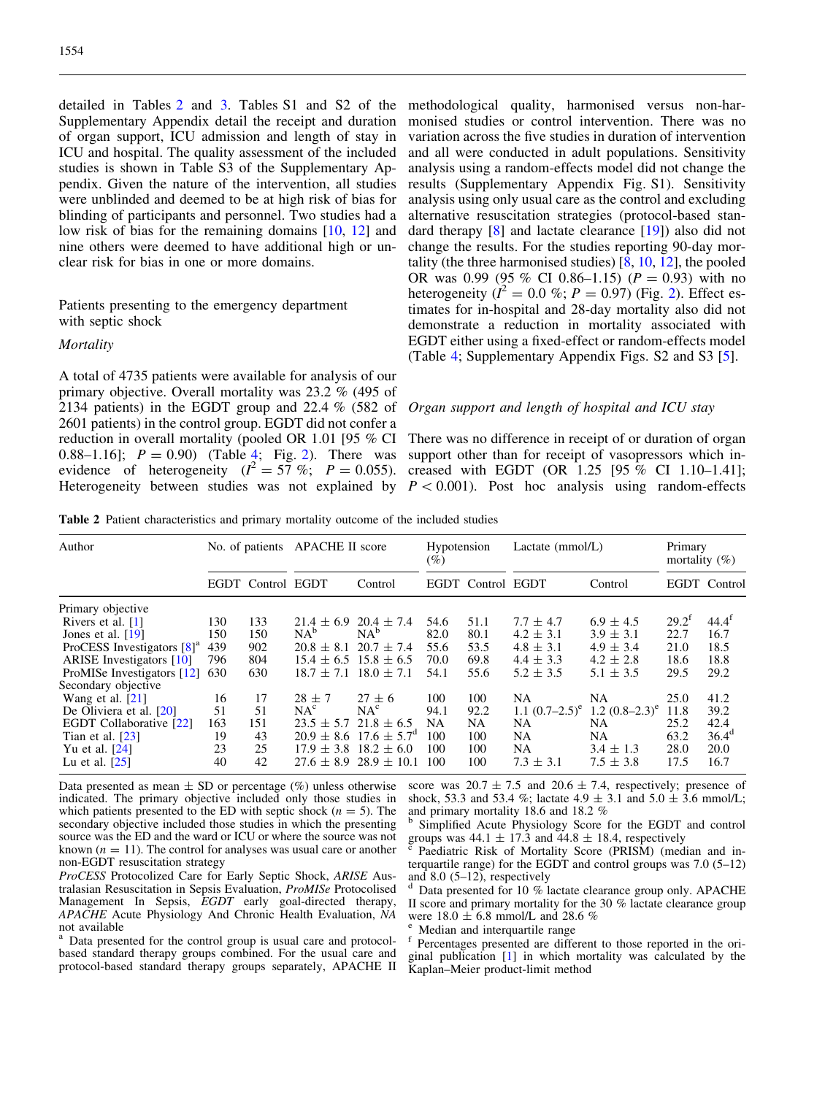detailed in Tables 2 and [3](#page-6-0). Tables S1 and S2 of the Supplementary Appendix detail the receipt and duration of organ support, ICU admission and length of stay in ICU and hospital. The quality assessment of the included studies is shown in Table S3 of the Supplementary Appendix. Given the nature of the intervention, all studies were unblinded and deemed to be at high risk of bias for blinding of participants and personnel. Two studies had a low risk of bias for the remaining domains [[10](#page-10-0), [12\]](#page-10-0) and nine others were deemed to have additional high or unclear risk for bias in one or more domains.

Patients presenting to the emergency department with septic shock

#### **Mortality**

A total of 4735 patients were available for analysis of our primary objective. Overall mortality was 23.2 % (495 of 2134 patients) in the EGDT group and 22.4 % (582 of 2601 patients) in the control group. EGDT did not confer a reduction in overall mortality (pooled OR 1.01 [95 % CI 0.88–1.16];  $P = 0.90$  (Table [4;](#page-7-0) Fig. [2](#page-8-0)). There was evidence of heterogeneity  $(l^2 = 57 \%; P = 0.055)$ . creased with EGDT (OR 1.25 [95 % CI 1.10–1.41]; Heterogeneity between studies was not explained by  $P < 0.001$ ). Post hoc analysis using random-effects

methodological quality, harmonised versus non-harmonised studies or control intervention. There was no variation across the five studies in duration of intervention and all were conducted in adult populations. Sensitivity analysis using a random-effects model did not change the results (Supplementary Appendix Fig. S1). Sensitivity analysis using only usual care as the control and excluding alternative resuscitation strategies (protocol-based standard therapy [\[8](#page-10-0)] and lactate clearance [[19](#page-10-0)]) also did not change the results. For the studies reporting 90-day mortality (the three harmonised studies) [\[8,](#page-10-0) [10](#page-10-0), [12](#page-10-0)], the pooled OR was 0.99 (95 % CI 0.86–1.15) ( $P = 0.93$ ) with no heterogeneity ( $\hat{I}^2 = 0.0$  %;  $P = 0.97$ ) (Fig. [2\)](#page-8-0). Effect estimates for in-hospital and 28-day mortality also did not demonstrate a reduction in mortality associated with EGDT either using a fixed-effect or random-effects model (Table [4;](#page-7-0) Supplementary Appendix Figs. S2 and S3 [[5](#page-10-0)].

## Organ support and length of hospital and ICU stay

There was no difference in receipt of or duration of organ support other than for receipt of vasopressors which in-

Table 2 Patient characteristics and primary mortality outcome of the included studies

| Author                          |     | No. of patients   | APACHE II score               |                                       | Hypotension<br>$( \% )$ |              | Lactate $(mmol/L)$ |                   | Primary<br>mortality $(\%)$ |              |
|---------------------------------|-----|-------------------|-------------------------------|---------------------------------------|-------------------------|--------------|--------------------|-------------------|-----------------------------|--------------|
|                                 |     | EGDT Control EGDT |                               | Control                               | EGDT                    | Control EGDT |                    | Control           |                             | EGDT Control |
| Primary objective               |     |                   |                               |                                       |                         |              |                    |                   |                             |              |
| Rivers et al. $[1]$             | 130 | 133               | $21.4 \pm 6.9$                | $20.4 \pm 7.4$                        | 54.6                    | 51.1         | $7.7 \pm 4.7$      | $6.9 \pm 4.5$     | $29.2^t$                    | $44.4^t$     |
| Jones et al. $[19]$             | 150 | 150               | $NA^b$                        | $NA^b$                                | 82.0                    | 80.1         | $4.2 \pm 3.1$      | $3.9 \pm 3.1$     | 22.7                        | 16.7         |
| ProCESS Investigators $[8]^a$   | 439 | 902               | $20.8 \pm 8.1$                | $20.7 \pm 7.4$                        | 55.6                    | 53.5         | $4.8 \pm 3.1$      | $4.9 \pm 3.4$     | 21.0                        | 18.5         |
| <b>ARISE</b> Investigators [10] | 796 | 804               | $15.4 \pm 6.5$ $15.8 \pm 6.5$ |                                       | 70.0                    | 69.8         | $4.4 \pm 3.3$      | $4.2 \pm 2.8$     | 18.6                        | 18.8         |
| ProMISe Investigators [12]      | 630 | 630               | $18.7 \pm 7.1$                | $18.0 \pm 7.1$                        | 54.1                    | 55.6         | $5.2 \pm 3.5$      | $5.1 \pm 3.5$     | 29.5                        | 29.2         |
| Secondary objective             |     |                   |                               |                                       |                         |              |                    |                   |                             |              |
| Wang et al. $[21]$              | 16  | 17                | $28 \pm 7$                    | $27 \pm 6$                            | 100                     | 100          | NA                 | NA                | 25.0                        | 41.2         |
| De Oliviera et al. $[20]$       | 51  | 51                | NA <sup>c</sup>               | NA <sup>c</sup>                       | 94.1                    | 92.2         | 1.1 $(0.7-2.5)^e$  | 1.2 $(0.8-2.3)^e$ | 11.8                        | 39.2         |
| EGDT Collaborative [22]         | 163 | 151               | $23.5 \pm 5.7$                | $21.8 \pm 6.5$                        | NA                      | NA           | NA                 | NA                | 25.2                        | 42.4         |
| Tian et al. $[23]$              | 19  | 43                |                               | $20.9 \pm 8.6$ 17.6 $\pm 5.7^{\circ}$ | 100                     | 100          | NA                 | NA                | 63.2                        | $36.4^d$     |
| Yu et al. $[24]$                | 23  | 25                |                               | $17.9 \pm 3.8$ $18.2 \pm 6.0$         | 100                     | 100          | NA                 | $3.4 \pm 1.3$     | 28.0                        | 20.0         |
| Lu et al. $[25]$                | 40  | 42                |                               | $27.6 \pm 8.9$ 28.9 $\pm$ 10.1        | 100                     | 100          | $7.3 \pm 3.1$      | $7.5 \pm 3.8$     | 17.5                        | 16.7         |

Data presented as mean  $\pm$  SD or percentage (%) unless otherwise indicated. The primary objective included only those studies in which patients presented to the ED with septic shock ( $n = 5$ ). The secondary objective included those studies in which the presenting source was the ED and the ward or ICU or where the source was not known ( $n = 11$ ). The control for analyses was usual care or another non-EGDT resuscitation strategy

ProCESS Protocolized Care for Early Septic Shock, ARISE Australasian Resuscitation in Sepsis Evaluation, ProMISe Protocolised Management In Sepsis, *EGDT* early goal-directed therapy, APACHE Acute Physiology And Chronic Health Evaluation, NA not available

<sup>a</sup> Data presented for the control group is usual care and protocolbased standard therapy groups combined. For the usual care and protocol-based standard therapy groups separately, APACHE II score was  $20.7 \pm 7.5$  and  $20.6 \pm 7.4$ , respectively; presence of shock, 53.3 and 53.4 %; lactate  $4.9 \pm 3.1$  and  $5.0 \pm 3.6$  mmol/L; and primary mortality 18.6 and 18.2 %

<sup>b</sup> Simplified Acute Physiology Score for the EGDT and control groups was  $44.1 \pm 17.3$  and  $44.8 \pm 18.4$ , respectively

Paediatric Risk of Mortality Score (PRISM) (median and interquartile range) for the EGDT and control groups was 7.0 (5–12) and 8.0 (5–12), respectively

Data presented for 10 % lactate clearance group only. APACHE II score and primary mortality for the 30 % lactate clearance group were 18.0  $\pm$  6.8 mmol/L and 28.6 %

Median and interquartile range<br>Percentages presented are different to those reported in the original publication [[1](#page-10-0)] in which mortality was calculated by the Kaplan–Meier product-limit method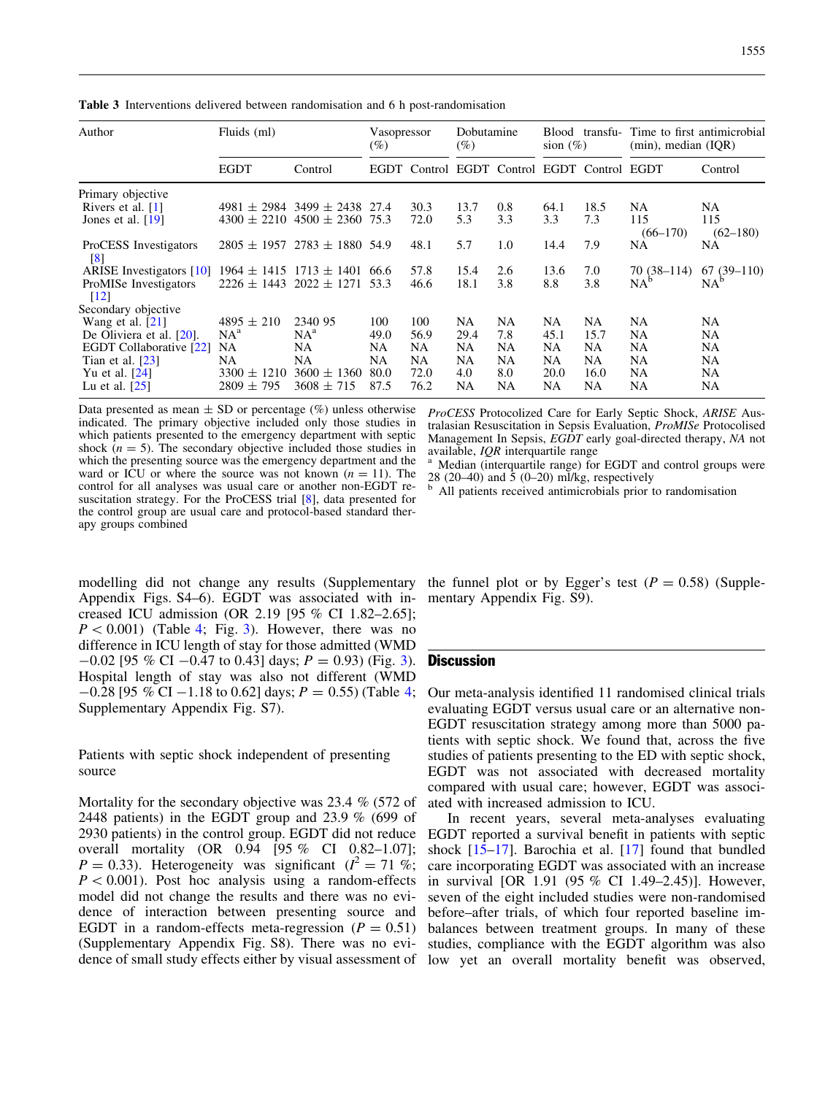<span id="page-6-0"></span>Table 3 Interventions delivered between randomisation and 6 h post-randomisation

| Author                                      | Fluids (ml)     |                                      | Vasopressor<br>$(\%)$ |      | Dobutamine<br>$(\%)$ |                                        | transfu-<br>Blood<br>sion $(\%)$ |      | Time to first antimicrobial<br>(min), median (IOR) |                     |
|---------------------------------------------|-----------------|--------------------------------------|-----------------------|------|----------------------|----------------------------------------|----------------------------------|------|----------------------------------------------------|---------------------|
|                                             | <b>EGDT</b>     | Control                              | EGDT                  |      |                      | Control EGDT Control EGDT Control EGDT |                                  |      |                                                    | Control             |
| Primary objective                           |                 |                                      |                       |      |                      |                                        |                                  |      |                                                    |                     |
| Rivers et al. $[1]$                         |                 | $4981 \pm 2984$ 3499 $\pm$ 2438 27.4 |                       | 30.3 | 13.7                 | 0.8                                    | 64.1                             | 18.5 | NA                                                 | NA                  |
| Jones et al. $[19]$                         | $4300 \pm 2210$ | $4500 \pm 2360$ 75.3                 |                       | 72.0 | 5.3                  | 3.3                                    | 3.3                              | 7.3  | 115<br>$(66 - 170)$                                | 115<br>$(62 - 180)$ |
| ProCESS Investigators<br>$\lceil 8 \rceil$  | $2805 \pm 1957$ | $2783 \pm 1880$ 54.9                 |                       | 48.1 | 5.7                  | 1.0                                    | 14.4                             | 7.9  | <b>NA</b>                                          | NA                  |
| <b>ARISE</b> Investigators [10]             | $1964 \pm 1415$ | $1713 \pm 1401$                      | 66.6                  | 57.8 | 15.4                 | 2.6                                    | 13.6                             | 7.0  | 70 (38–114)                                        | $67(39-110)$        |
| ProMISe Investigators<br>$\lceil 12 \rceil$ | $2226 \pm 1443$ | $2022 \pm 1271$                      | 53.3                  | 46.6 | 18.1                 | 3.8                                    | 8.8                              | 3.8  | $NA^b$                                             | $NA^b$              |
| Secondary objective                         |                 |                                      |                       |      |                      |                                        |                                  |      |                                                    |                     |
| Wang et al. $[21]$                          | $4895 \pm 210$  | 2340 95                              | 100                   | 100  | NA                   | <b>NA</b>                              | NA                               | NA   | <b>NA</b>                                          | <b>NA</b>           |
| De Oliviera et al. [20].                    | $NA^a$          | $NA^a$                               | 49.0                  | 56.9 | 29.4                 | 7.8                                    | 45.1                             | 15.7 | NA                                                 | NA                  |
| <b>EGDT Collaborative [22]</b>              | <b>NA</b>       | NA                                   | NA                    | NA   | NA                   | NA                                     | NA                               | NA   | NA                                                 | <b>NA</b>           |
| Tian et al. $[23]$                          | NA              | NA                                   | NA                    | NA.  | NA                   | <b>NA</b>                              | NA                               | NA   | <b>NA</b>                                          | <b>NA</b>           |
| Yu et al. $[24]$                            | $3300 \pm 1210$ | $3600 \pm 1360$                      | 80.0                  | 72.0 | 4.0                  | 8.0                                    | 20.0                             | 16.0 | NA                                                 | <b>NA</b>           |
| Lu et al. $[25]$                            | $2809 \pm 795$  | $3608 \pm 715$                       | 87.5                  | 76.2 | NA                   | NA                                     | NA                               | NA   | NA                                                 | NA                  |

Data presented as mean  $\pm$  SD or percentage (%) unless otherwise indicated. The primary objective included only those studies in which patients presented to the emergency department with septic shock  $(n = 5)$ . The secondary objective included those studies in which the presenting source was the emergency department and the ward or ICU or where the source was not known  $(n = 11)$ . The control for all analyses was usual care or another non-EGDT resuscitation strategy. For the ProCESS trial [[8](#page-10-0)], data presented for the control group are usual care and protocol-based standard therapy groups combined

ProCESS Protocolized Care for Early Septic Shock, ARISE Australasian Resuscitation in Sepsis Evaluation, ProMISe Protocolised Management In Sepsis,  $EG\hat{D}T$  early goal-directed therapy, NA not available,  $IQR$  interquartile range

Median (interquartile range) for EGDT and control groups were 28 (20–40) and  $\overline{5}$  (0–20) ml/kg, respectively

All patients received antimicrobials prior to randomisation

modelling did not change any results (Supplementary Appendix Figs. S4–6). EGDT was associated with increased ICU admission (OR 2.19 [95 % CI 1.82–2.65];  $P < 0.001$ ) (Table [4](#page-7-0); Fig. [3\)](#page-9-0). However, there was no difference in ICU length of stay for those admitted (WMD  $-0.02$  [95 % CI  $-0.47$  to 0.4[3](#page-9-0)] days;  $P = 0.93$  (Fig. 3). Hospital length of stay was also not different (WMD  $-0.28$  [95 % CI  $-1.18$  to 0.62] days;  $P = 0.55$ ) (Table [4;](#page-7-0) Supplementary Appendix Fig. S7).

Patients with septic shock independent of presenting source

Mortality for the secondary objective was 23.4 % (572 of 2448 patients) in the EGDT group and 23.9 % (699 of 2930 patients) in the control group. EGDT did not reduce overall mortality (OR 0.94 [95 % CI 0.82–1.07];  $P = 0.33$ ). Heterogeneity was significant ( $I^2 = 71$  %;  $P < 0.001$ ). Post hoc analysis using a random-effects model did not change the results and there was no evidence of interaction between presenting source and EGDT in a random-effects meta-regression ( $P = 0.51$ ) (Supplementary Appendix Fig. S8). There was no evidence of small study effects either by visual assessment of

the funnel plot or by Egger's test  $(P = 0.58)$  (Supplementary Appendix Fig. S9).

## **Discussion**

Our meta-analysis identified 11 randomised clinical trials evaluating EGDT versus usual care or an alternative non-EGDT resuscitation strategy among more than 5000 patients with septic shock. We found that, across the five studies of patients presenting to the ED with septic shock, EGDT was not associated with decreased mortality compared with usual care; however, EGDT was associated with increased admission to ICU.

In recent years, several meta-analyses evaluating EGDT reported a survival benefit in patients with septic shock [\[15–17\]](#page-10-0). Barochia et al. [\[17\]](#page-10-0) found that bundled care incorporating EGDT was associated with an increase in survival [OR 1.91 (95 % CI 1.49–2.45)]. However, seven of the eight included studies were non-randomised before–after trials, of which four reported baseline imbalances between treatment groups. In many of these studies, compliance with the EGDT algorithm was also low yet an overall mortality benefit was observed,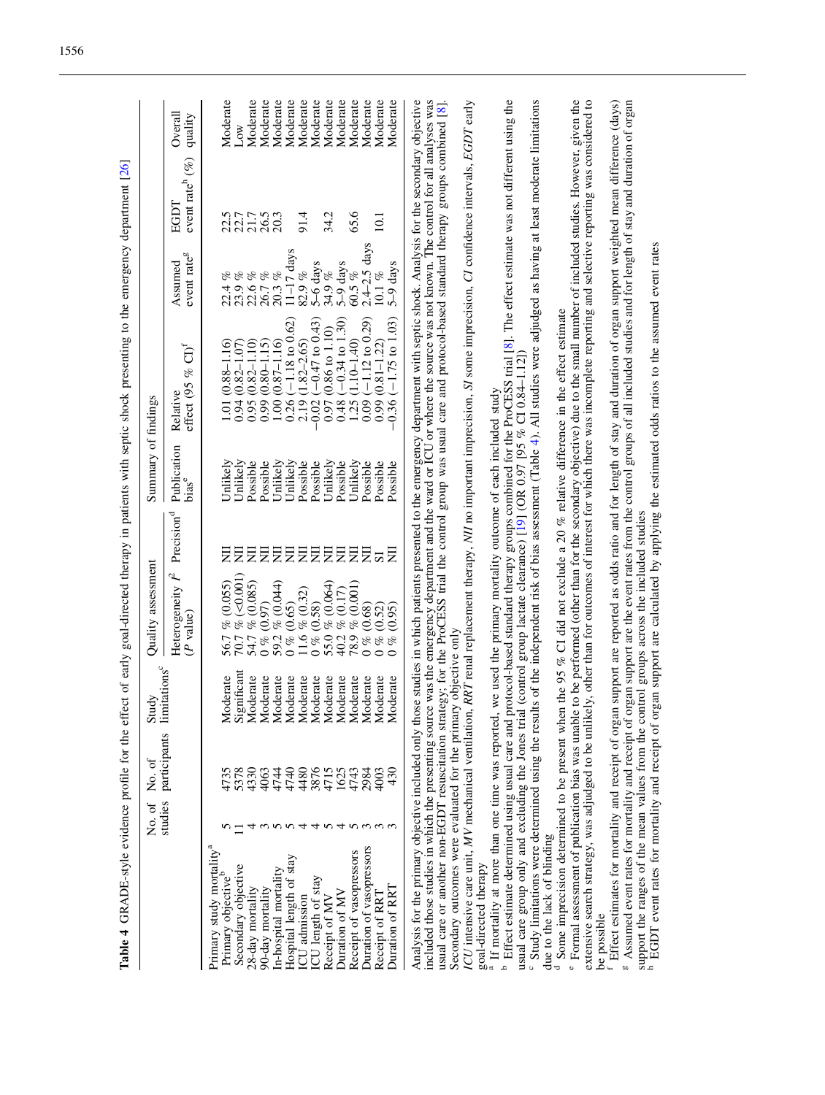<span id="page-7-0"></span>

| participants<br>3876<br>1625<br>5378<br>4330<br>4740<br>4480<br>4715<br>4743<br>2984<br>4063<br>4744<br>studies<br>n<br>4<br>Primary study mortality <sup>a</sup><br>Duration of vasopressors<br>Receipt of vasopressors<br>Hospital length of stay<br>Secondary objective<br>In-hospital mortality<br>Primary objective <sup>'</sup><br>ICU length of stay<br>90-day mortality<br>28-day mortality<br>Duration of MV<br>ICU admission<br>Receipt of MV                                                                                                                                                   | Study<br>limitations <sup>c</sup><br>Moderate<br>Significant<br>Moderate<br>loderate<br>loderate<br>loderate<br>Moderate<br>Moderate<br>Moderate<br>Moderate<br>Moderate<br>Moderate<br>loderate<br>Moderate<br>Σ<br>Σ<br>Σ<br>⋝ | Heterogeneity $I^2$<br>$\frac{56.7 \frac{6}{6}(0.055)}{70.7 \frac{6}{6}(-0.001)}$<br>54.7 % (0.085)<br>59.2 % (0.044)<br>$55.0$ % $(0.064)$<br>$40.2$ % $(0.17)$<br>78.9 % (0.001)<br>11.6 % $(0.32)$<br>$0\% (0.97)$<br>$0\% (0.65)$<br>$0\% (0.58)$<br>$0\% (0.68)$<br>$0\% (0.52)$<br>(0.95)<br>$(P$ value)<br>of | Publication<br>Unlikely<br>Unlikely<br>Unlikely<br><b>Jnlikely</b><br>Unlikely<br><b>Jnlikely</b><br>Possible<br>Possible<br>Possible<br>Possible<br>Possible<br>Possible<br>Possible<br>Possible<br>bias <sup>e</sup><br>Precision <sup>d</sup><br>豆<br>ξ<br>罢<br>豆<br>乬<br>乬<br>乬<br>E<br>乬<br>弖<br>昙<br>戹<br>$\overline{\mathbf{s}}$ | $(-0.34 \text{ to } 1.30)$<br>$0.36 (-1.75 to 1.03)$<br>$(-1.18 \text{ to } 0.62)$<br>$(-0.47 \text{ to } 0.43)$<br>$(-1.12 \text{ to } 0.29)$<br>$(0.86 \text{ to } 1.10)$<br>$(1.10 - 1.40)$<br>$(1.82 - 2.65)$<br>$(0.81 - 1.22)$<br>$(0.87 - 1.16)$<br>$(0.82 - 1.10)$<br>$(0.80 - 1.15)$<br>$(0.82 - 1.07)$<br>$(0.88 - 1.16)$<br>$\operatorname{CD}^{\mathrm{f}}$<br>of<br>effect (95<br>Relative<br>0.09<br>0.26<br>0.99<br>0.99<br>0.00<br>0.48<br>0.95<br>0.02<br>1.25<br>2.19<br>1.01<br>0.94<br>0.97 | $2.4 - 2.5$ days<br>$11-17$ days<br>event rate <sup>g</sup><br>5-9 days<br>Assumed<br>5-6 days<br>34.9%<br>$82.9~\%$<br>$60.5\%$<br>10.1 %<br>$26.7%$<br>$20.3%$<br>$23.9%$<br>$22.6%$<br>og<br>22.4 | event rate <sup>h</sup> (%)<br>EGDT<br>65.6<br>21.7<br>26.5<br>20.3<br>91.4<br>34.2<br>22.5<br>22.7<br>10.1 | Moderate<br>Moderate<br>Moderate<br>Moderate<br>Moderate<br>Moderate<br>Moderate<br>Moderate<br>Moderate<br>Moderate<br>Moderate<br>Overall<br>quality<br>Low |
|-----------------------------------------------------------------------------------------------------------------------------------------------------------------------------------------------------------------------------------------------------------------------------------------------------------------------------------------------------------------------------------------------------------------------------------------------------------------------------------------------------------------------------------------------------------------------------------------------------------|----------------------------------------------------------------------------------------------------------------------------------------------------------------------------------------------------------------------------------|----------------------------------------------------------------------------------------------------------------------------------------------------------------------------------------------------------------------------------------------------------------------------------------------------------------------|-----------------------------------------------------------------------------------------------------------------------------------------------------------------------------------------------------------------------------------------------------------------------------------------------------------------------------------------|-----------------------------------------------------------------------------------------------------------------------------------------------------------------------------------------------------------------------------------------------------------------------------------------------------------------------------------------------------------------------------------------------------------------------------------------------------------------------------------------------------------------|------------------------------------------------------------------------------------------------------------------------------------------------------------------------------------------------------|-------------------------------------------------------------------------------------------------------------|---------------------------------------------------------------------------------------------------------------------------------------------------------------|
|                                                                                                                                                                                                                                                                                                                                                                                                                                                                                                                                                                                                           |                                                                                                                                                                                                                                  |                                                                                                                                                                                                                                                                                                                      |                                                                                                                                                                                                                                                                                                                                         |                                                                                                                                                                                                                                                                                                                                                                                                                                                                                                                 |                                                                                                                                                                                                      |                                                                                                             |                                                                                                                                                               |
|                                                                                                                                                                                                                                                                                                                                                                                                                                                                                                                                                                                                           |                                                                                                                                                                                                                                  |                                                                                                                                                                                                                                                                                                                      |                                                                                                                                                                                                                                                                                                                                         |                                                                                                                                                                                                                                                                                                                                                                                                                                                                                                                 |                                                                                                                                                                                                      |                                                                                                             |                                                                                                                                                               |
|                                                                                                                                                                                                                                                                                                                                                                                                                                                                                                                                                                                                           |                                                                                                                                                                                                                                  |                                                                                                                                                                                                                                                                                                                      |                                                                                                                                                                                                                                                                                                                                         |                                                                                                                                                                                                                                                                                                                                                                                                                                                                                                                 |                                                                                                                                                                                                      |                                                                                                             |                                                                                                                                                               |
|                                                                                                                                                                                                                                                                                                                                                                                                                                                                                                                                                                                                           |                                                                                                                                                                                                                                  |                                                                                                                                                                                                                                                                                                                      |                                                                                                                                                                                                                                                                                                                                         |                                                                                                                                                                                                                                                                                                                                                                                                                                                                                                                 |                                                                                                                                                                                                      |                                                                                                             |                                                                                                                                                               |
|                                                                                                                                                                                                                                                                                                                                                                                                                                                                                                                                                                                                           |                                                                                                                                                                                                                                  |                                                                                                                                                                                                                                                                                                                      |                                                                                                                                                                                                                                                                                                                                         |                                                                                                                                                                                                                                                                                                                                                                                                                                                                                                                 |                                                                                                                                                                                                      |                                                                                                             |                                                                                                                                                               |
|                                                                                                                                                                                                                                                                                                                                                                                                                                                                                                                                                                                                           |                                                                                                                                                                                                                                  |                                                                                                                                                                                                                                                                                                                      |                                                                                                                                                                                                                                                                                                                                         |                                                                                                                                                                                                                                                                                                                                                                                                                                                                                                                 |                                                                                                                                                                                                      |                                                                                                             |                                                                                                                                                               |
|                                                                                                                                                                                                                                                                                                                                                                                                                                                                                                                                                                                                           |                                                                                                                                                                                                                                  |                                                                                                                                                                                                                                                                                                                      |                                                                                                                                                                                                                                                                                                                                         |                                                                                                                                                                                                                                                                                                                                                                                                                                                                                                                 |                                                                                                                                                                                                      |                                                                                                             |                                                                                                                                                               |
|                                                                                                                                                                                                                                                                                                                                                                                                                                                                                                                                                                                                           |                                                                                                                                                                                                                                  |                                                                                                                                                                                                                                                                                                                      |                                                                                                                                                                                                                                                                                                                                         |                                                                                                                                                                                                                                                                                                                                                                                                                                                                                                                 |                                                                                                                                                                                                      |                                                                                                             |                                                                                                                                                               |
|                                                                                                                                                                                                                                                                                                                                                                                                                                                                                                                                                                                                           |                                                                                                                                                                                                                                  |                                                                                                                                                                                                                                                                                                                      |                                                                                                                                                                                                                                                                                                                                         |                                                                                                                                                                                                                                                                                                                                                                                                                                                                                                                 |                                                                                                                                                                                                      |                                                                                                             |                                                                                                                                                               |
|                                                                                                                                                                                                                                                                                                                                                                                                                                                                                                                                                                                                           |                                                                                                                                                                                                                                  |                                                                                                                                                                                                                                                                                                                      |                                                                                                                                                                                                                                                                                                                                         |                                                                                                                                                                                                                                                                                                                                                                                                                                                                                                                 |                                                                                                                                                                                                      |                                                                                                             |                                                                                                                                                               |
|                                                                                                                                                                                                                                                                                                                                                                                                                                                                                                                                                                                                           |                                                                                                                                                                                                                                  |                                                                                                                                                                                                                                                                                                                      |                                                                                                                                                                                                                                                                                                                                         |                                                                                                                                                                                                                                                                                                                                                                                                                                                                                                                 |                                                                                                                                                                                                      |                                                                                                             |                                                                                                                                                               |
|                                                                                                                                                                                                                                                                                                                                                                                                                                                                                                                                                                                                           |                                                                                                                                                                                                                                  |                                                                                                                                                                                                                                                                                                                      |                                                                                                                                                                                                                                                                                                                                         |                                                                                                                                                                                                                                                                                                                                                                                                                                                                                                                 |                                                                                                                                                                                                      |                                                                                                             |                                                                                                                                                               |
|                                                                                                                                                                                                                                                                                                                                                                                                                                                                                                                                                                                                           |                                                                                                                                                                                                                                  |                                                                                                                                                                                                                                                                                                                      |                                                                                                                                                                                                                                                                                                                                         |                                                                                                                                                                                                                                                                                                                                                                                                                                                                                                                 |                                                                                                                                                                                                      |                                                                                                             |                                                                                                                                                               |
|                                                                                                                                                                                                                                                                                                                                                                                                                                                                                                                                                                                                           |                                                                                                                                                                                                                                  |                                                                                                                                                                                                                                                                                                                      |                                                                                                                                                                                                                                                                                                                                         |                                                                                                                                                                                                                                                                                                                                                                                                                                                                                                                 |                                                                                                                                                                                                      |                                                                                                             |                                                                                                                                                               |
| 4003<br>430<br>ოოო<br>Duration of RRT<br>Receipt of RRT                                                                                                                                                                                                                                                                                                                                                                                                                                                                                                                                                   |                                                                                                                                                                                                                                  |                                                                                                                                                                                                                                                                                                                      |                                                                                                                                                                                                                                                                                                                                         |                                                                                                                                                                                                                                                                                                                                                                                                                                                                                                                 | 5-9 days                                                                                                                                                                                             |                                                                                                             | Moderate<br>Moderate                                                                                                                                          |
|                                                                                                                                                                                                                                                                                                                                                                                                                                                                                                                                                                                                           |                                                                                                                                                                                                                                  |                                                                                                                                                                                                                                                                                                                      |                                                                                                                                                                                                                                                                                                                                         |                                                                                                                                                                                                                                                                                                                                                                                                                                                                                                                 |                                                                                                                                                                                                      |                                                                                                             |                                                                                                                                                               |
| Analysis for the primary objective included only those studies in which patients presented to the emergency department with septic shock. Analysis for the secondary objective<br>included those studies in which the presenting source was the emergency department and the ward or ICU or where the source was not known. The control for all analyses was<br>usual care or another non-EGDT resuscitation strategy; for the ProCESS trial the control group was usual care and protocol-based standard therapy groups combined [8]<br>Secondary outcomes were evaluated for the primary objective only |                                                                                                                                                                                                                                  |                                                                                                                                                                                                                                                                                                                      |                                                                                                                                                                                                                                                                                                                                         |                                                                                                                                                                                                                                                                                                                                                                                                                                                                                                                 |                                                                                                                                                                                                      |                                                                                                             |                                                                                                                                                               |
| ICU intensive care unit, MV mechanical ventilation, RRT renal replacement therapy, NII no important imprecision, SI some imprecision, CI confidence intervals, EGDT early                                                                                                                                                                                                                                                                                                                                                                                                                                 |                                                                                                                                                                                                                                  |                                                                                                                                                                                                                                                                                                                      |                                                                                                                                                                                                                                                                                                                                         |                                                                                                                                                                                                                                                                                                                                                                                                                                                                                                                 |                                                                                                                                                                                                      |                                                                                                             |                                                                                                                                                               |
| goal-directed therapy                                                                                                                                                                                                                                                                                                                                                                                                                                                                                                                                                                                     |                                                                                                                                                                                                                                  |                                                                                                                                                                                                                                                                                                                      |                                                                                                                                                                                                                                                                                                                                         |                                                                                                                                                                                                                                                                                                                                                                                                                                                                                                                 |                                                                                                                                                                                                      |                                                                                                             |                                                                                                                                                               |
| <sup>b</sup> Effect estimate determined using usual care and protocol-based standard therapy groups combined for the ProCESS trial [8]. The effect estimate was not different using the<br><sup>a</sup> If mortality at more than one time was reported, we used the primary mortality outcome of each included study                                                                                                                                                                                                                                                                                     |                                                                                                                                                                                                                                  |                                                                                                                                                                                                                                                                                                                      |                                                                                                                                                                                                                                                                                                                                         |                                                                                                                                                                                                                                                                                                                                                                                                                                                                                                                 |                                                                                                                                                                                                      |                                                                                                             |                                                                                                                                                               |
| usual care group only and excluding the Jones trial (control group lactate clearance) [19] (OR 0.97 [95 % CI 0.84-1.12]                                                                                                                                                                                                                                                                                                                                                                                                                                                                                   |                                                                                                                                                                                                                                  |                                                                                                                                                                                                                                                                                                                      |                                                                                                                                                                                                                                                                                                                                         |                                                                                                                                                                                                                                                                                                                                                                                                                                                                                                                 |                                                                                                                                                                                                      |                                                                                                             |                                                                                                                                                               |
| Study limitations were determined using the results of the independent risk of bias assessment (Table 4). All studies were adjudged as having at least moderate limitations                                                                                                                                                                                                                                                                                                                                                                                                                               |                                                                                                                                                                                                                                  |                                                                                                                                                                                                                                                                                                                      |                                                                                                                                                                                                                                                                                                                                         |                                                                                                                                                                                                                                                                                                                                                                                                                                                                                                                 |                                                                                                                                                                                                      |                                                                                                             |                                                                                                                                                               |
| due to the lack of blinding<br>ಕ                                                                                                                                                                                                                                                                                                                                                                                                                                                                                                                                                                          |                                                                                                                                                                                                                                  |                                                                                                                                                                                                                                                                                                                      |                                                                                                                                                                                                                                                                                                                                         |                                                                                                                                                                                                                                                                                                                                                                                                                                                                                                                 |                                                                                                                                                                                                      |                                                                                                             |                                                                                                                                                               |
| Some imprecision determined to be present when the 95 % CI did not exclude a 20 % relative difference in the effect estimate                                                                                                                                                                                                                                                                                                                                                                                                                                                                              |                                                                                                                                                                                                                                  |                                                                                                                                                                                                                                                                                                                      |                                                                                                                                                                                                                                                                                                                                         |                                                                                                                                                                                                                                                                                                                                                                                                                                                                                                                 |                                                                                                                                                                                                      |                                                                                                             |                                                                                                                                                               |
| <sup>e</sup> Formal assessment of publication bias was unable to be performed (other than for the secondary objective) due to the small number of included studies. However, given the<br>extensive search strategy, was adjudged to be unlikely, other than for outcomes of interest for which there was incomplete reporting and selective reporting was considered to<br>be possible                                                                                                                                                                                                                   |                                                                                                                                                                                                                                  |                                                                                                                                                                                                                                                                                                                      |                                                                                                                                                                                                                                                                                                                                         |                                                                                                                                                                                                                                                                                                                                                                                                                                                                                                                 |                                                                                                                                                                                                      |                                                                                                             |                                                                                                                                                               |
| <sup>f</sup> Effect estimates for mortality and receipt of organ support are reported as odds ratio and for length of stay and duration of organ support weighted mean difference (days)                                                                                                                                                                                                                                                                                                                                                                                                                  |                                                                                                                                                                                                                                  |                                                                                                                                                                                                                                                                                                                      |                                                                                                                                                                                                                                                                                                                                         |                                                                                                                                                                                                                                                                                                                                                                                                                                                                                                                 |                                                                                                                                                                                                      |                                                                                                             |                                                                                                                                                               |
| Assumed event rates for mortality and receipt of<br>60                                                                                                                                                                                                                                                                                                                                                                                                                                                                                                                                                    |                                                                                                                                                                                                                                  |                                                                                                                                                                                                                                                                                                                      |                                                                                                                                                                                                                                                                                                                                         | organ support are the event rates from the control groups of all included studies and for length of stay and duration of organ                                                                                                                                                                                                                                                                                                                                                                                  |                                                                                                                                                                                                      |                                                                                                             |                                                                                                                                                               |
| support the ranges of the mean values from the control groups across the included studies<br><sup>h</sup> EGDT event rates for mortality and receipt of organ support are calculated by applying the estimated odds ratios to the assumed                                                                                                                                                                                                                                                                                                                                                                 |                                                                                                                                                                                                                                  |                                                                                                                                                                                                                                                                                                                      |                                                                                                                                                                                                                                                                                                                                         |                                                                                                                                                                                                                                                                                                                                                                                                                                                                                                                 |                                                                                                                                                                                                      |                                                                                                             |                                                                                                                                                               |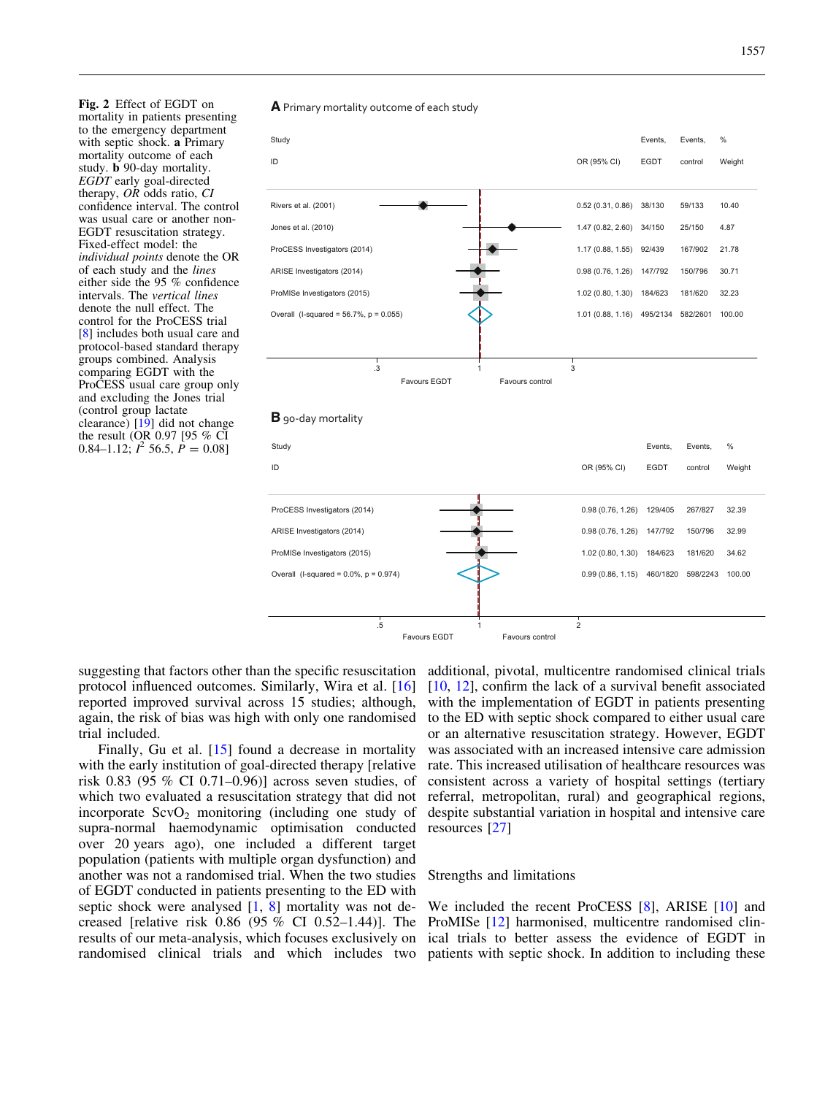<span id="page-8-0"></span>Fig. 2 Effect of EGDT on mortality in patients presenting to the emergency department with septic shock. a Primary mortality outcome of each study. b 90-day mortality. EGDT early goal-directed therapy, OR odds ratio, CI confidence interval. The control was usual care or another non-EGDT resuscitation strategy. Fixed-effect model: the individual points denote the OR of each study and the lines either side the 95 % confidence intervals. The vertical lines denote the null effect. The control for the ProCESS trial [[8](#page-10-0)] includes both usual care and protocol-based standard therapy groups combined. Analysis comparing EGDT with the ProCESS usual care group only and excluding the Jones trial (control group lactate clearance) [[19\]](#page-10-0) did not change the result (OR 0.97 [95 % CI 0.84–1.12;  $I^2$  56.5,  $P = 0.08$ ]



suggesting that factors other than the specific resuscitation protocol influenced outcomes. Similarly, Wira et al. [[16](#page-10-0)] reported improved survival across 15 studies; although, again, the risk of bias was high with only one randomised trial included.

Finally, Gu et al. [[15](#page-10-0)] found a decrease in mortality with the early institution of goal-directed therapy [relative] risk 0.83 (95 % CI 0.71–0.96)] across seven studies, of which two evaluated a resuscitation strategy that did not incorporate  $ScvO<sub>2</sub>$  monitoring (including one study of supra-normal haemodynamic optimisation conducted over 20 years ago), one included a different target population (patients with multiple organ dysfunction) and another was not a randomised trial. When the two studies of EGDT conducted in patients presenting to the ED with septic shock were analysed [\[1](#page-10-0), [8](#page-10-0)] mortality was not decreased [relative risk 0.86 (95 % CI 0.52–1.44)]. The results of our meta-analysis, which focuses exclusively on

additional, pivotal, multicentre randomised clinical trials [\[10,](#page-10-0) [12](#page-10-0)], confirm the lack of a survival benefit associated with the implementation of EGDT in patients presenting to the ED with septic shock compared to either usual care or an alternative resuscitation strategy. However, EGDT was associated with an increased intensive care admission rate. This increased utilisation of healthcare resources was consistent across a variety of hospital settings (tertiary referral, metropolitan, rural) and geographical regions, despite substantial variation in hospital and intensive care resources [\[27\]](#page-11-0)

# Strengths and limitations

randomised clinical trials and which includes two patients with septic shock. In addition to including these We included the recent ProCESS [[8\]](#page-10-0), ARISE [[10](#page-10-0)] and ProMISe [\[12\]](#page-10-0) harmonised, multicentre randomised clinical trials to better assess the evidence of EGDT in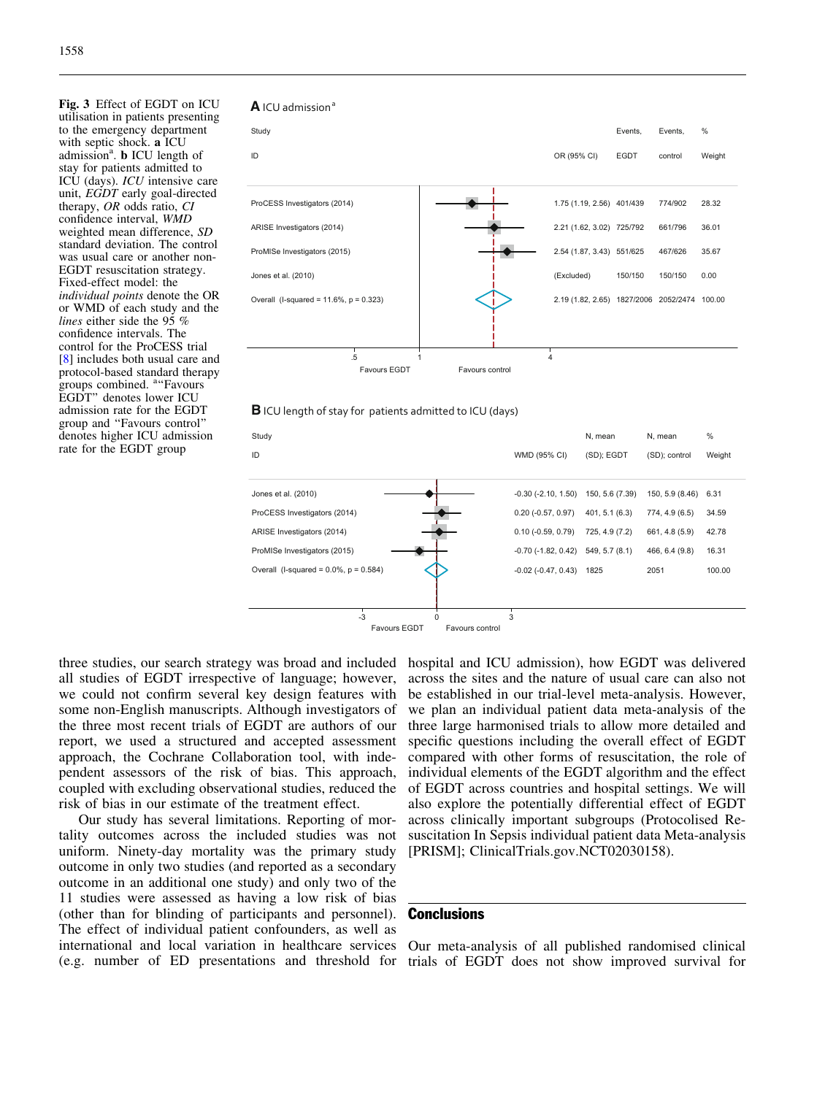<span id="page-9-0"></span>Fig. 3 Effect of EGDT on ICU utilisation in patients presenting to the emergency department with septic shock. a ICU admission<sup>a</sup>. **b** ICU length of stay for patients admitted to ICU (days). ICU intensive care unit, EGDT early goal-directed therapy, OR odds ratio, CI confidence interval, WMD weighted mean difference, SD standard deviation. The control was usual care or another non-EGDT resuscitation strategy. Fixed-effect model: the individual points denote the OR or WMD of each study and the lines either side the  $95\%$ confidence intervals. The control for the ProCESS trial [[8](#page-10-0)] includes both usual care and protocol-based standard therapy **groups combined.** <sup>a</sup> Favours EGDT'' denotes lower ICU admission rate for the EGDT group and ''Favours control'' denotes higher ICU admission rate for the EGDT group

#### **A** ICU admission<sup>8</sup>



#### **B** ICU length of stay for patients admitted to ICU (days)



three studies, our search strategy was broad and included all studies of EGDT irrespective of language; however, we could not confirm several key design features with some non-English manuscripts. Although investigators of the three most recent trials of EGDT are authors of our report, we used a structured and accepted assessment approach, the Cochrane Collaboration tool, with independent assessors of the risk of bias. This approach, coupled with excluding observational studies, reduced the risk of bias in our estimate of the treatment effect.

Our study has several limitations. Reporting of mortality outcomes across the included studies was not uniform. Ninety-day mortality was the primary study outcome in only two studies (and reported as a secondary outcome in an additional one study) and only two of the 11 studies were assessed as having a low risk of bias (other than for blinding of participants and personnel). The effect of individual patient confounders, as well as international and local variation in healthcare services (e.g. number of ED presentations and threshold for

hospital and ICU admission), how EGDT was delivered across the sites and the nature of usual care can also not be established in our trial-level meta-analysis. However, we plan an individual patient data meta-analysis of the three large harmonised trials to allow more detailed and specific questions including the overall effect of EGDT compared with other forms of resuscitation, the role of individual elements of the EGDT algorithm and the effect of EGDT across countries and hospital settings. We will also explore the potentially differential effect of EGDT across clinically important subgroups (Protocolised Resuscitation In Sepsis individual patient data Meta-analysis [PRISM]; ClinicalTrials.gov.NCT02030158).

# **Conclusions**

Our meta-analysis of all published randomised clinical trials of EGDT does not show improved survival for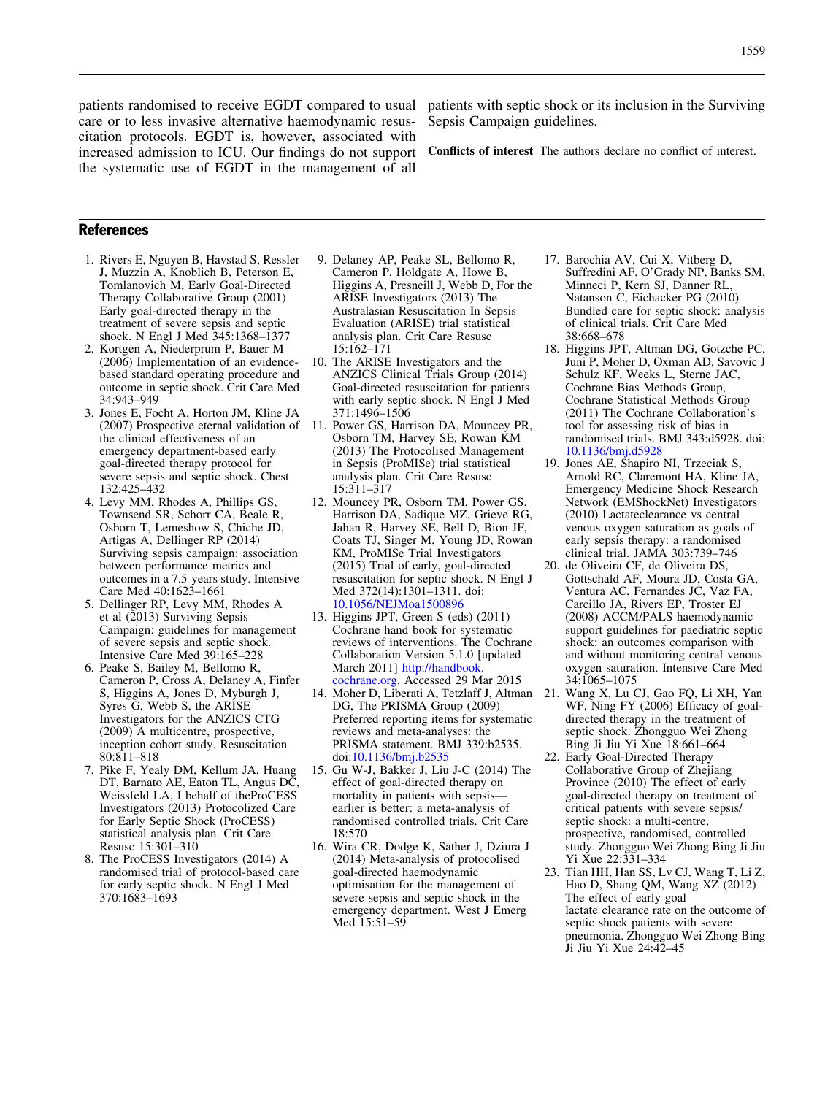<span id="page-10-0"></span>patients randomised to receive EGDT compared to usual care or to less invasive alternative haemodynamic resuscitation protocols. EGDT is, however, associated with increased admission to ICU. Our findings do not support the systematic use of EGDT in the management of all

patients with septic shock or its inclusion in the Surviving Sepsis Campaign guidelines.

Conflicts of interest The authors declare no conflict of interest.

## References

- 1. Rivers E, Nguyen B, Havstad S, Ressler J, Muzzin A, Knoblich B, Peterson E, Tomlanovich M, Early Goal-Directed Therapy Collaborative Group (2001) Early goal-directed therapy in the treatment of severe sepsis and septic shock. N Engl J Med 345:1368–1377
- 2. Kortgen A, Niederprum P, Bauer M (2006) Implementation of an evidencebased standard operating procedure and outcome in septic shock. Crit Care Med 34:943–949
- 3. Jones E, Focht A, Horton JM, Kline JA (2007) Prospective eternal validation of the clinical effectiveness of an emergency department-based early goal-directed therapy protocol for severe sepsis and septic shock. Chest 132:425–432
- 4. Levy MM, Rhodes A, Phillips GS, Townsend SR, Schorr CA, Beale R, Osborn T, Lemeshow S, Chiche JD, Artigas A, Dellinger RP (2014) Surviving sepsis campaign: association between performance metrics and outcomes in a 7.5 years study. Intensive Care Med 40:1623–1661
- 5. Dellinger RP, Levy MM, Rhodes A et al (2013) Surviving Sepsis Campaign: guidelines for management of severe sepsis and septic shock. Intensive Care Med 39:165–228
- 6. Peake S, Bailey M, Bellomo R, Cameron P, Cross A, Delaney A, Finfer S, Higgins A, Jones D, Myburgh J, Syres G, Webb S, the ARISE Investigators for the ANZICS CTG (2009) A multicentre, prospective, inception cohort study. Resuscitation 80:811–818
- 7. Pike F, Yealy DM, Kellum JA, Huang DT, Barnato AE, Eaton TL, Angus DC, Weissfeld LA, I behalf of theProCESS Investigators (2013) Protocolized Care for Early Septic Shock (ProCESS) statistical analysis plan. Crit Care Resusc 15:301–310
- 8. The ProCESS Investigators (2014) A randomised trial of protocol-based care for early septic shock. N Engl J Med 370:1683–1693
- 9. Delaney AP, Peake SL, Bellomo R, Cameron P, Holdgate A, Howe B, Higgins A, Presneill J, Webb D, For the ARISE Investigators (2013) The Australasian Resuscitation In Sepsis Evaluation (ARISE) trial statistical analysis plan. Crit Care Resusc 15:162–171
- 10. The ARISE Investigators and the ANZICS Clinical Trials Group (2014) Goal-directed resuscitation for patients with early septic shock. N Engl J Med 371:1496–1506
- 11. Power GS, Harrison DA, Mouncey PR, Osborn TM, Harvey SE, Rowan KM (2013) The Protocolised Management in Sepsis (ProMISe) trial statistical analysis plan. Crit Care Resusc 15:311–317
- 12. Mouncey PR, Osborn TM, Power GS, Harrison DA, Sadique MZ, Grieve RG, Jahan R, Harvey SE, Bell D, Bion JF, Coats TJ, Singer M, Young JD, Rowan KM, ProMISe Trial Investigators (2015) Trial of early, goal-directed resuscitation for septic shock. N Engl J Med 372(14):1301–1311. doi: [10.1056/NEJMoa1500896](http://dx.doi.org/10.1056/NEJMoa1500896)
- 13. Higgins JPT, Green S (eds) (2011) Cochrane hand book for systematic reviews of interventions. The Cochrane Collaboration Version 5.1.0 [updated March 2011] [http://handbook.](http://handbook.cochrane.org) [cochrane.org.](http://handbook.cochrane.org) Accessed 29 Mar 2015
- DG, The PRISMA Group (2009) Preferred reporting items for systematic reviews and meta-analyses: the PRISMA statement. BMJ 339:b2535. doi[:10.1136/bmj.b2535](http://dx.doi.org/10.1136/bmj.b2535)
- 15. Gu W-J, Bakker J, Liu J-C (2014) The effect of goal-directed therapy on mortality in patients with sepsis earlier is better: a meta-analysis of randomised controlled trials. Crit Care 18:570
- 16. Wira CR, Dodge K, Sather J, Dziura J (2014) Meta-analysis of protocolised goal-directed haemodynamic optimisation for the management of severe sepsis and septic shock in the emergency department. West J Emerg Med 15:51–59
- 17. Barochia AV, Cui X, Vitberg D, Suffredini AF, O'Grady NP, Banks SM, Minneci P, Kern SJ, Danner RL, Natanson C, Eichacker PG (2010) Bundled care for septic shock: analysis of clinical trials. Crit Care Med 38:668–678
- 18. Higgins JPT, Altman DG, Gotzche PC, Juni P, Moher D, Oxman AD, Savovic J Schulz KF, Weeks L, Sterne JAC, Cochrane Bias Methods Group, Cochrane Statistical Methods Group (2011) The Cochrane Collaboration's tool for assessing risk of bias in randomised trials. BMJ 343:d5928. doi: [10.1136/bmj.d5928](http://dx.doi.org/10.1136/bmj.d5928)
- 19. Jones AE, Shapiro NI, Trzeciak S, Arnold RC, Claremont HA, Kline JA, Emergency Medicine Shock Research Network (EMShockNet) Investigators (2010) Lactateclearance vs central venous oxygen saturation as goals of early sepsis therapy: a randomised clinical trial. JAMA 303:739–746
- 20. de Oliveira CF, de Oliveira DS, Gottschald AF, Moura JD, Costa GA, Ventura AC, Fernandes JC, Vaz FA, Carcillo JA, Rivers EP, Troster EJ (2008) ACCM/PALS haemodynamic support guidelines for paediatric septic shock: an outcomes comparison with and without monitoring central venous oxygen saturation. Intensive Care Med 34:1065–1075
- 14. Moher D, Liberati A, Tetzlaff J, Altman 21. Wang X, Lu CJ, Gao FQ, Li XH, Yan WF, Ning FY (2006) Efficacy of goaldirected therapy in the treatment of septic shock. Zhongguo Wei Zhong Bing Ji Jiu Yi Xue 18:661–664
	- 22. Early Goal-Directed Therapy Collaborative Group of Zhejiang Province (2010) The effect of early goal-directed therapy on treatment of critical patients with severe sepsis/ septic shock: a multi-centre, prospective, randomised, controlled study. Zhongguo Wei Zhong Bing Ji Jiu Yi Xue 22:331–334
	- 23. Tian HH, Han SS, Lv CJ, Wang T, Li Z, Hao D, Shang QM, Wang XZ (2012) The effect of early goal lactate clearance rate on the outcome of septic shock patients with severe pneumonia. Zhongguo Wei Zhong Bing Ji Jiu Yi Xue 24:42–45